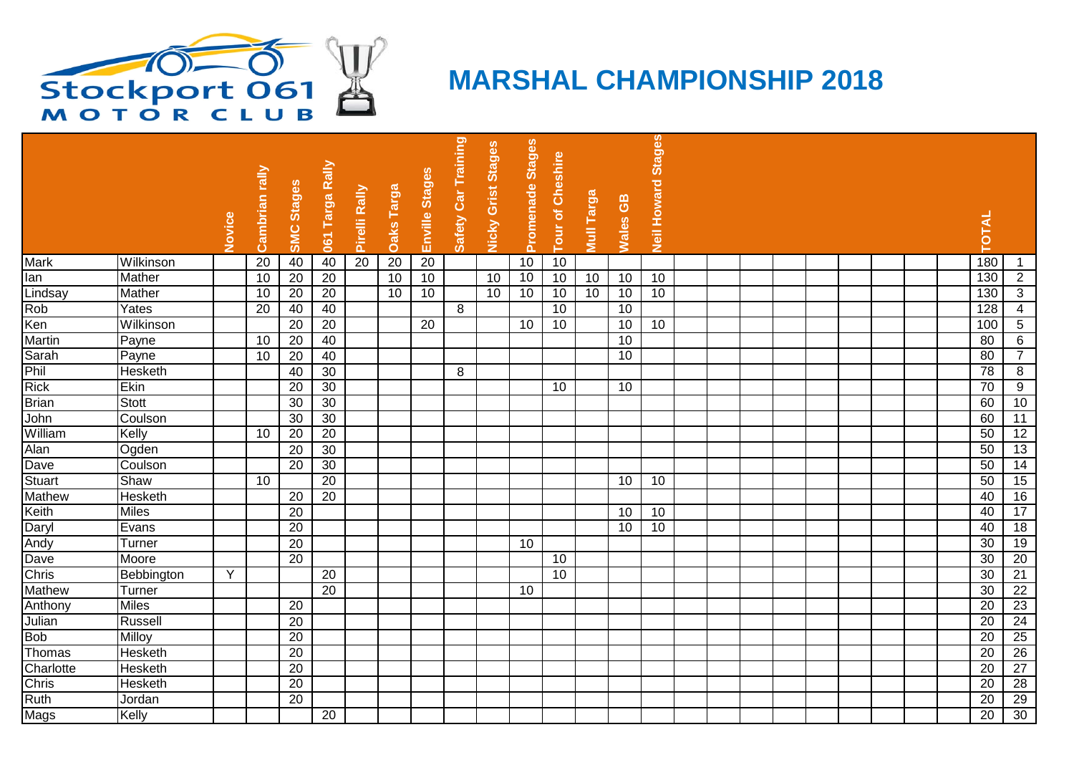

## **MARSHAL CHAMPIONSHIP 2018**

|               |                |        |                 |                   |                 |                 |                 |                 |                     |                           |                  |                  |            |          | <b>Stages</b>      |  |  |  |  |                 |                     |
|---------------|----------------|--------|-----------------|-------------------|-----------------|-----------------|-----------------|-----------------|---------------------|---------------------------|------------------|------------------|------------|----------|--------------------|--|--|--|--|-----------------|---------------------|
|               |                | Novice | Cambrian rally  | <b>SMC Stages</b> | 061 Targa Rally | Pirelli Rally   | Daks Targa      | Enville Stages  | Safety Car Training | <b>Nicky Grist Stages</b> | Promenade Stages | Tour of Cheshire | Mull Targa | Wales GB | <b>Neil Howard</b> |  |  |  |  | <b>TOTAL</b>    |                     |
| <b>Mark</b>   | Wilkinson      |        | $\overline{20}$ | 40                | 40              | $\overline{20}$ | 20              | $\overline{20}$ |                     |                           | 10               | 10               |            |          |                    |  |  |  |  | 180             |                     |
| lan           | Mather         |        | 10              | 20                | $\overline{20}$ |                 | 10              | 10              |                     | 10                        | 10               | 10               | 10         | 10       | 10                 |  |  |  |  | 130             | $\overline{2}$      |
| Lindsay       | Mather         |        | 10              | $\overline{20}$   | 20              |                 | $\overline{10}$ | 10              |                     | 10                        | 10               | 10               | 10         | 10       | 10                 |  |  |  |  | 130             | $\overline{\omega}$ |
| Rob           | Yates          |        | 20              | 40                | 40              |                 |                 |                 | 8                   |                           |                  | 10               |            | 10       |                    |  |  |  |  | 128             | $\overline{4}$      |
| Ken           | Wilkinson      |        |                 | 20                | $\overline{20}$ |                 |                 | 20              |                     |                           | 10               | 10               |            | 10       | 10                 |  |  |  |  | 100             | $\overline{5}$      |
| Martin        | Payne          |        | 10              | 20                | 40              |                 |                 |                 |                     |                           |                  |                  |            | 10       |                    |  |  |  |  | 80              | 6                   |
| Sarah         | Payne          |        | 10              | 20                | 40              |                 |                 |                 |                     |                           |                  |                  |            | 10       |                    |  |  |  |  | 80              | $\overline{7}$      |
| Phil          | Hesketh        |        |                 | 40                | 30              |                 |                 |                 | 8                   |                           |                  |                  |            |          |                    |  |  |  |  | 78              | 8                   |
| <b>Rick</b>   | <b>Ekin</b>    |        |                 | $\overline{20}$   | $\overline{30}$ |                 |                 |                 |                     |                           |                  | 10               |            | 10       |                    |  |  |  |  | $\overline{70}$ | $\overline{9}$      |
| <b>Brian</b>  | <b>Stott</b>   |        |                 | 30                | 30              |                 |                 |                 |                     |                           |                  |                  |            |          |                    |  |  |  |  | 60              | 10                  |
| John          | Coulson        |        |                 | 30                | $\overline{30}$ |                 |                 |                 |                     |                           |                  |                  |            |          |                    |  |  |  |  | 60              | 11                  |
| William       | Kelly          |        | 10              | $\overline{20}$   | 20              |                 |                 |                 |                     |                           |                  |                  |            |          |                    |  |  |  |  | 50              | $\overline{12}$     |
| Alan          | Ogden          |        |                 | 20                | 30              |                 |                 |                 |                     |                           |                  |                  |            |          |                    |  |  |  |  | 50              | 13                  |
| Dave          | Coulson        |        |                 | $\overline{20}$   | $\overline{30}$ |                 |                 |                 |                     |                           |                  |                  |            |          |                    |  |  |  |  | 50              | 14                  |
| Stuart        | Shaw           |        | $\overline{10}$ |                   | 20              |                 |                 |                 |                     |                           |                  |                  |            | 10       | 10                 |  |  |  |  | 50              | 15                  |
| <b>Mathew</b> | Hesketh        |        |                 | 20                | 20              |                 |                 |                 |                     |                           |                  |                  |            |          |                    |  |  |  |  | 40              | 16                  |
| Keith         | <b>Miles</b>   |        |                 | $\overline{20}$   |                 |                 |                 |                 |                     |                           |                  |                  |            | 10       | 10                 |  |  |  |  | 40              | $\overline{17}$     |
| Daryl         | Evans          |        |                 | $\overline{20}$   |                 |                 |                 |                 |                     |                           |                  |                  |            | 10       | $\overline{10}$    |  |  |  |  | 40              | 18                  |
| Andy          | Turner         |        |                 | 20                |                 |                 |                 |                 |                     |                           | 10               |                  |            |          |                    |  |  |  |  | 30              | 19                  |
| Dave          | Moore          |        |                 | 20                |                 |                 |                 |                 |                     |                           |                  | 10               |            |          |                    |  |  |  |  | 30              | 20                  |
| Chris         | Bebbington     | Y      |                 |                   | $\overline{20}$ |                 |                 |                 |                     |                           |                  | $\overline{10}$  |            |          |                    |  |  |  |  | 30              | 21                  |
| <b>Mathew</b> | Turner         |        |                 |                   | 20              |                 |                 |                 |                     |                           | 10               |                  |            |          |                    |  |  |  |  | $\overline{30}$ | $\overline{22}$     |
| Anthony       | <b>Miles</b>   |        |                 | $\overline{20}$   |                 |                 |                 |                 |                     |                           |                  |                  |            |          |                    |  |  |  |  | 20              | $\overline{23}$     |
| Julian        | Russell        |        |                 | 20                |                 |                 |                 |                 |                     |                           |                  |                  |            |          |                    |  |  |  |  | 20              | 24                  |
| <b>Bob</b>    | <b>Milloy</b>  |        |                 | 20                |                 |                 |                 |                 |                     |                           |                  |                  |            |          |                    |  |  |  |  | $\overline{20}$ | $\overline{25}$     |
| Thomas        | Hesketh        |        |                 | $\overline{20}$   |                 |                 |                 |                 |                     |                           |                  |                  |            |          |                    |  |  |  |  | $\overline{20}$ | $\overline{26}$     |
| Charlotte     | <b>Hesketh</b> |        |                 | $\overline{20}$   |                 |                 |                 |                 |                     |                           |                  |                  |            |          |                    |  |  |  |  | $\overline{20}$ | $\overline{27}$     |
| Chris         | <b>Hesketh</b> |        |                 | 20                |                 |                 |                 |                 |                     |                           |                  |                  |            |          |                    |  |  |  |  | 20              | 28                  |
| Ruth          | <b>Jordan</b>  |        |                 | 20                |                 |                 |                 |                 |                     |                           |                  |                  |            |          |                    |  |  |  |  | $\overline{20}$ | 29                  |
| Mags          | Kelly          |        |                 |                   | 20              |                 |                 |                 |                     |                           |                  |                  |            |          |                    |  |  |  |  | $\overline{20}$ | 30                  |